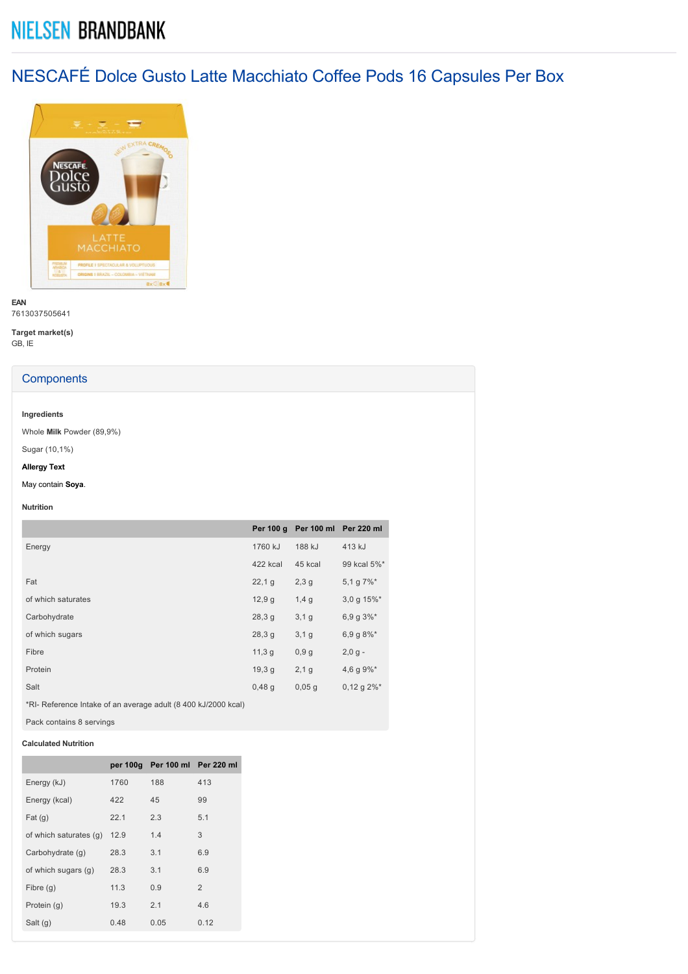# **NIELSEN BRANDBANK**

NESCAFÉ Dolce Gusto Latte Macchiato Coffee Pods 16 Capsules Per Box



**EAN** 7613037505641

**Target market(s)** GB, IE

# **Components**

## **Ingredients**

Whole **Milk** Powder (89,9%)

Sugar (10,1%)

## **Allergy Text**

May contain **Soya**.

#### **Nutrition**

|                    | Per 100 g |         | Per 100 ml Per 220 ml       |
|--------------------|-----------|---------|-----------------------------|
| Energy             | 1760 kJ   | 188 kJ  | 413 kJ                      |
|                    | 422 kcal  | 45 kcal | 99 kcal 5%*                 |
| Fat                | 22,19     | 2,3,9   | 5,1 g $7\%$ <sup>*</sup>    |
| of which saturates | 12,9g     | 1,4g    | 3,0 g $15\%$ <sup>*</sup>   |
| Carbohydrate       | 28,3g     | 3,1,9   | 6,9 g $3\%$ <sup>*</sup>    |
| of which sugars    | 28,3g     | 3,1,9   | 6,9 g 8%*                   |
| Fibre              | 11,3g     | 0,9g    | $2,0,9 -$                   |
| Protein            | 19,3q     | 2,1,9   | 4,6 g $9\%$ <sup>*</sup>    |
| Salt               | 0,48,9    | 0,05,9  | $0,12$ g $2\%$ <sup>*</sup> |

\*RI Reference Intake of an average adult (8 400 kJ/2000 kcal)

Pack contains 8 servings

## **Calculated Nutrition**

|                        |      | per 100g Per 100 ml Per 220 ml |                |
|------------------------|------|--------------------------------|----------------|
| Energy (kJ)            | 1760 | 188                            | 413            |
| Energy (kcal)          | 422  | 45                             | 99             |
| Fat(g)                 | 22.1 | 2.3                            | 5.1            |
| of which saturates (q) | 12.9 | 1.4                            | 3              |
| Carbohydrate (q)       | 28.3 | 3.1                            | 6.9            |
| of which sugars (g)    | 28.3 | 3.1                            | 6.9            |
| Fibre $(q)$            | 11.3 | 0.9                            | $\mathfrak{p}$ |
| Protein (q)            | 19.3 | 2.1                            | 4.6            |
| Salt $(g)$             | 0.48 | 0.05                           | 0.12           |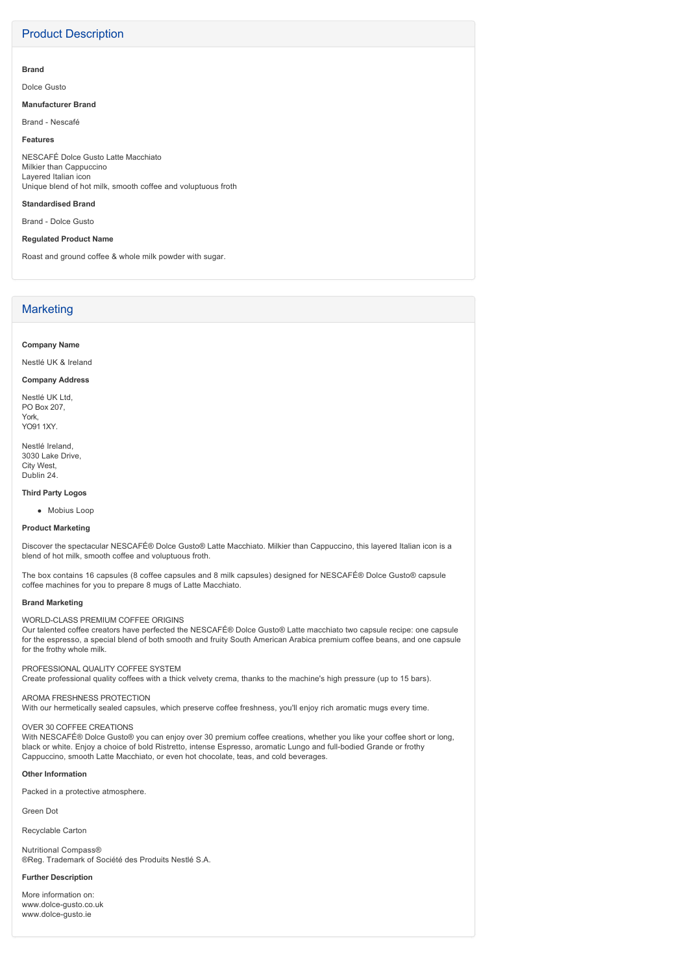# Product Description

#### **Brand**

Dolce Gusto

#### **Manufacturer Brand**

Brand - Nescafé

## **Features**

NESCAFÉ Dolce Gusto Latte Macchiato Milkier than Cappuccino Layered Italian icon Unique blend of hot milk, smooth coffee and voluptuous froth

## **Standardised Brand**

Brand - Dolce Gusto

## **Regulated Product Name**

Roast and ground coffee & whole milk powder with sugar.

# **Marketing**

#### **Company Name**

Nestlé UK & Ireland

#### **Company Address**

Nestlé UK Ltd, PO Box 207, York, YO91 1XY.

Nestlé Ireland, 3030 Lake Drive, City West, Dublin 24.

### **Third Party Logos**

• Mobius Loop

#### **Product Marketing**

Discover the spectacular NESCAFÉ® Dolce Gusto® Latte Macchiato. Milkier than Cappuccino, this layered Italian icon is a blend of hot milk, smooth coffee and voluptuous froth.

The box contains 16 capsules (8 coffee capsules and 8 milk capsules) designed for NESCAFÉ® Dolce Gusto® capsule coffee machines for you to prepare 8 mugs of Latte Macchiato.

#### **Brand Marketing**

WORLD-CLASS PREMIUM COFFEE ORIGINS

Our talented coffee creators have perfected the NESCAFÉ® Dolce Gusto® Latte macchiato two capsule recipe: one capsule for the espresso, a special blend of both smooth and fruity South American Arabica premium coffee beans, and one capsule for the frothy whole milk.

#### PROFESSIONAL QUALITY COFFEE SYSTEM

Create professional quality coffees with a thick velvety crema, thanks to the machine's high pressure (up to 15 bars).

#### AROMA FRESHNESS PROTECTION

With our hermetically sealed capsules, which preserve coffee freshness, you'll enjoy rich aromatic mugs every time.

## OVER 30 COFFEE CREATIONS

With NESCAFÉ® Dolce Gusto® you can enjoy over 30 premium coffee creations, whether you like your coffee short or long, black or white. Enjoy a choice of bold Ristretto, intense Espresso, aromatic Lungo and full-bodied Grande or frothy Cappuccino, smooth Latte Macchiato, or even hot chocolate, teas, and cold beverages.

#### **Other Information**

Packed in a protective atmosphere.

Green Dot

Recyclable Carton

Nutritional Compass® ®Reg. Trademark of Société des Produits Nestlé S.A.

#### **Further Description**

More information on: www.dolce-gusto.co.uk www.dolce-gusto.ie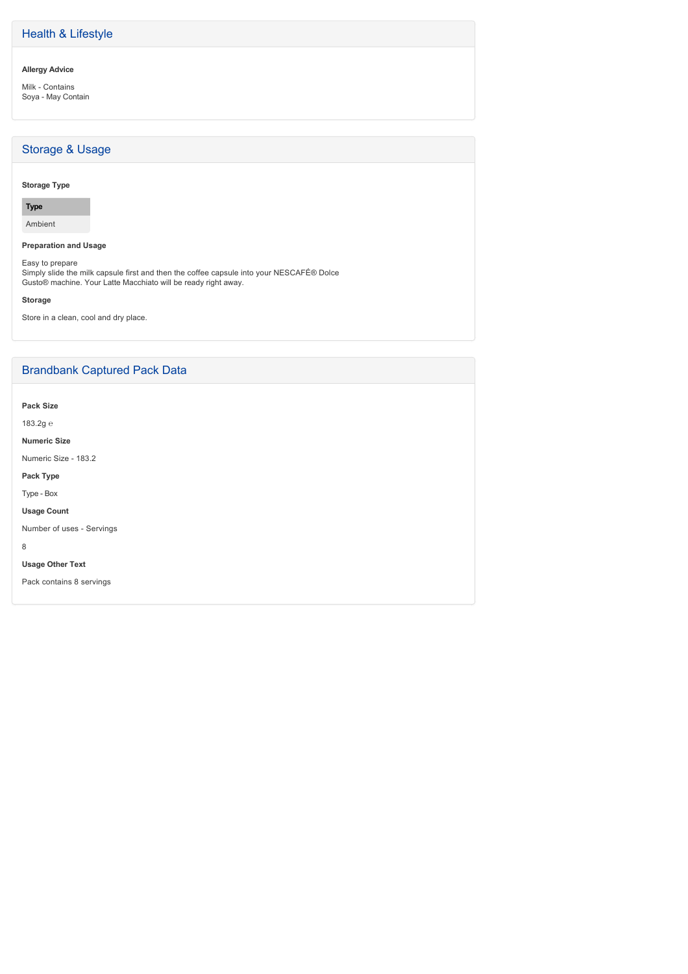# Health & Lifestyle

## **Allergy Advice**

Milk - Contains Soya - May Contain

# Storage & Usage

## **Storage Type**

# **Type**

Ambient

## **Preparation and Usage**

Easy to prepare Simply slide the milk capsule first and then the coffee capsule into your NESCAFÉ® Dolce Gusto® machine. Your Latte Macchiato will be ready right away.

## **Storage**

Store in a clean, cool and dry place.

# Brandbank Captured Pack Data

**Pack Size**

183.2g ℮

**Numeric Size**

Numeric Size - 183.2

**Pack Type**

Type - Box

**Usage Count**

Number of uses - Servings

8

**Usage Other Text**

Pack contains 8 servings